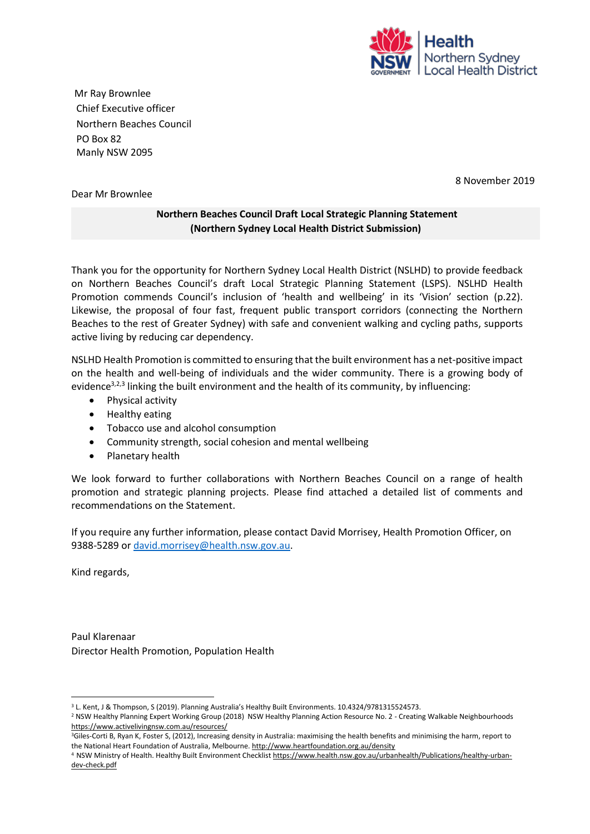

Mr Ray Brownlee Chief Executive officer Northern Beaches Council PO Box 82 Manly NSW 2095

8 November 2019

## Dear Mr Brownlee

## **Northern Beaches Council Draft Local Strategic Planning Statement (Northern Sydney Local Health District Submission)**

Thank you for the opportunity for Northern Sydney Local Health District (NSLHD) to provide feedback on Northern Beaches Council's draft Local Strategic Planning Statement (LSPS). NSLHD Health Promotion commends Council's inclusion of 'health and wellbeing' in its 'Vision' section (p.22). Likewise, the proposal of four fast, frequent public transport corridors (connecting the Northern Beaches to the rest of Greater Sydney) with safe and convenient walking and cycling paths, supports active living by reducing car dependency.

NSLHD Health Promotion is committed to ensuring that the built environment has a net‐positive impact on the health and well-being of individuals and the wider community. There is a growing body of evidence<sup>3,2,3</sup> linking the built environment and the health of its community, by influencing:

- Physical activity
- Healthy eating
- Tobacco use and alcohol consumption
- Community strength, social cohesion and mental wellbeing
- Planetary health

We look forward to further collaborations with Northern Beaches Council on a range of health promotion and strategic planning projects. Please find attached a detailed list of comments and recommendations on the Statement.

If you require any further information, please contact David Morrisey, Health Promotion Officer, on 9388-5289 o[r david.morrisey@health.nsw.gov.au.](mailto:david.morrisey@health.nsw.gov.au)

Kind regards,

Paul Klarenaar Director Health Promotion, Population Health

<sup>&</sup>lt;sup>3</sup> L. Kent, J & Thompson, S (2019). Planning Australia's Healthy Built Environments. 10.4324/9781315524573.

<sup>2</sup> NSW Healthy Planning Expert Working Group (2018) NSW Healthy Planning Action Resource No. 2 - Creating Walkable Neighbourhoods <https://www.activelivingnsw.com.au/resources/>

<sup>&</sup>lt;sup>3</sup>Giles-Corti B, Ryan K, Foster S, (2012), Increasing density in Australia: maximising the health benefits and minimising the harm, report to the National Heart Foundation of Australia, Melbourne[. http://www.heartfoundation.org.au/density](http://www.heartfoundation.org.au/density)

<sup>4</sup> NSW Ministry of Health. Healthy Built Environment Checklis[t https://www.health.nsw.gov.au/urbanhealth/Publications/healthy-urban](https://www.health.nsw.gov.au/urbanhealth/Publications/healthy-urban-dev-check.pdf)[dev-check.pdf](https://www.health.nsw.gov.au/urbanhealth/Publications/healthy-urban-dev-check.pdf)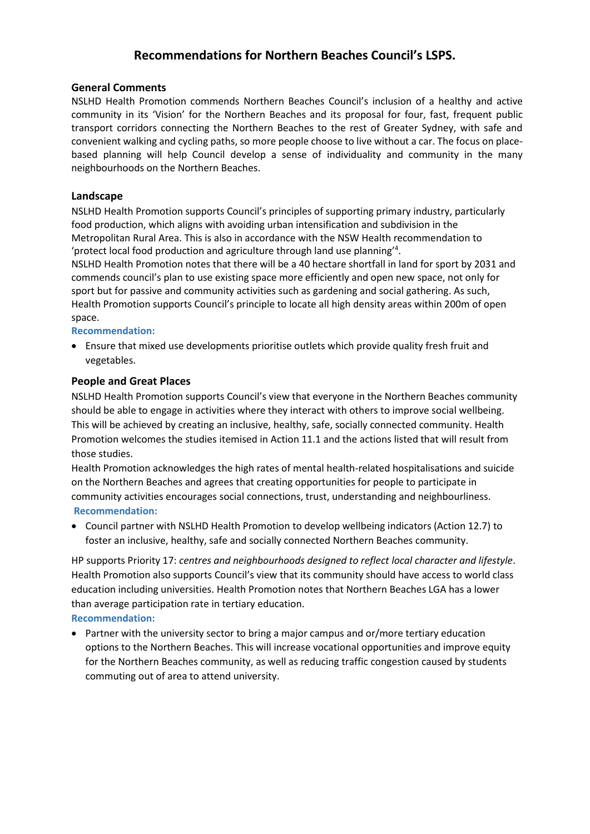# **Recommendations for Northern Beaches Council's LSPS.**

#### **General Comments**

NSLHD Health Promotion commends Northern Beaches Council's inclusion of a healthy and active community in its 'Vision' for the Northern Beaches and its proposal for four, fast, frequent public transport corridors connecting the Northern Beaches to the rest of Greater Sydney, with safe and convenient walking and cycling paths, so more people choose to live without a car. The focus on placebased planning will help Council develop a sense of individuality and community in the many neighbourhoods on the Northern Beaches.

## **Landscape**

NSLHD Health Promotion supports Council's principles of supporting primary industry, particularly food production, which aligns with avoiding urban intensification and subdivision in the Metropolitan Rural Area. This is also in accordance with the NSW Health recommendation to 'protect local food production and agriculture through land use planning'<sup>4</sup>.

NSLHD Health Promotion notes that there will be a 40 hectare shortfall in land for sport by 2031 and commends council's plan to use existing space more efficiently and open new space, not only for sport but for passive and community activities such as gardening and social gathering. As such, Health Promotion supports Council's principle to locate all high density areas within 200m of open space.

## **Recommendation:**

 Ensure that mixed use developments prioritise outlets which provide quality fresh fruit and vegetables.

## **People and Great Places**

NSLHD Health Promotion supports Council's view that everyone in the Northern Beaches community should be able to engage in activities where they interact with others to improve social wellbeing. This will be achieved by creating an inclusive, healthy, safe, socially connected community. Health Promotion welcomes the studies itemised in Action 11.1 and the actions listed that will result from those studies.

Health Promotion acknowledges the high rates of mental health-related hospitalisations and suicide on the Northern Beaches and agrees that creating opportunities for people to participate in community activities encourages social connections, trust, understanding and neighbourliness. **Recommendation:** 

 Council partner with NSLHD Health Promotion to develop wellbeing indicators (Action 12.7) to foster an inclusive, healthy, safe and socially connected Northern Beaches community.

HP supports Priority 17: *centres and neighbourhoods designed to reflect local character and lifestyle*. Health Promotion also supports Council's view that its community should have access to world class education including universities. Health Promotion notes that Northern Beaches LGA has a lower than average participation rate in tertiary education. **Recommendation:** 

 Partner with the university sector to bring a major campus and or/more tertiary education options to the Northern Beaches. This will increase vocational opportunities and improve equity for the Northern Beaches community, as well as reducing traffic congestion caused by students commuting out of area to attend university.